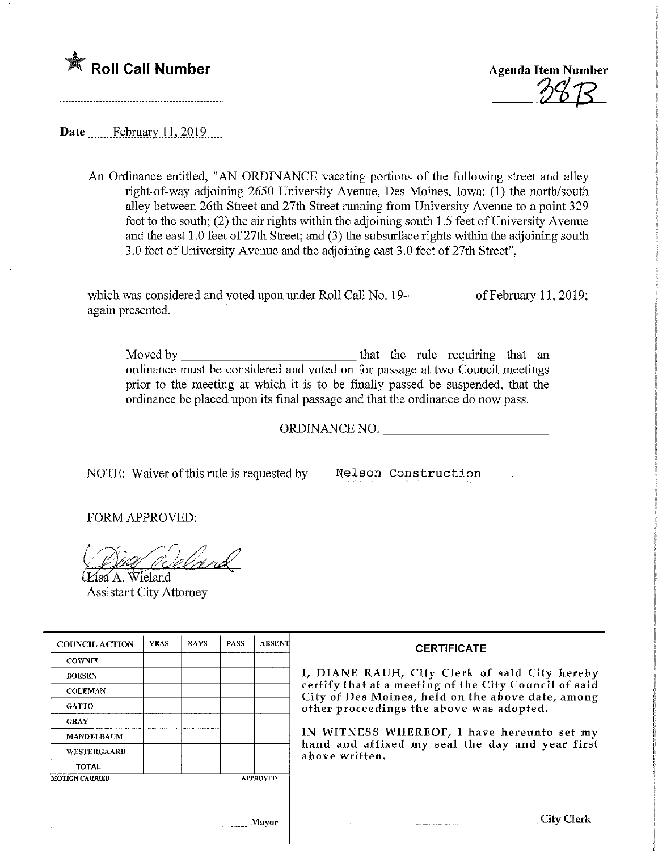

Agenda Item Number

Date.......February. 11,2019.

An Ordinance entitled, "AN ORDINANCE vacating portions of the following street and alley right-of-way adjoining 2650 University Avenue, Des Moines, Iowa: (1) the north/south alley between 26th Street and 27th Street mnning from University Avenue to a point 329 feet to the south; (2) the air rights within the adjoining south 1.5 feet of University Avenue and the east 1.0 feet of 27th Street; and (3) the subsurface rights within the adjoining south 3.0 feet of University Avenue and the adjoining east 3.0 feet of 27th Street",

which was considered and voted upon under Roll Call No. 19—18 of February 11, 2019; again presented.

Moved by that the rule requiring that an ordinance must be considered and voted on for passage at two Council meetings prior to the meeting at which it is to be finally passed be suspended, that the ordinance be placed upon its final passage and that the ordinance do now pass.

ORDINANCE NO.

NOTE: Waiver of this rule is requested by Melson Construction.

FORM APPROVED:

Eldnd

ísa A. Wieland Assistant City Attorney

| <b>COUNCIL ACTION</b> | <b>YEAS</b> | <b>NAYS</b> | <b>PASS</b> | <b>ABSENT</b>   | <b>CERTIFICATE</b><br>I, DIANE RAUH, City Clerk of said City hereby<br>certify that at a meeting of the City Council of said<br>City of Des Moines, held on the above date, among<br>other proceedings the above was adopted. |  |  |
|-----------------------|-------------|-------------|-------------|-----------------|-------------------------------------------------------------------------------------------------------------------------------------------------------------------------------------------------------------------------------|--|--|
| <b>COWNIE</b>         |             |             |             |                 |                                                                                                                                                                                                                               |  |  |
| <b>BOESEN</b>         |             |             |             |                 |                                                                                                                                                                                                                               |  |  |
| <b>COLEMAN</b>        |             |             |             |                 |                                                                                                                                                                                                                               |  |  |
| <b>GATTO</b>          |             |             |             |                 |                                                                                                                                                                                                                               |  |  |
| <b>GRAY</b>           |             |             |             |                 |                                                                                                                                                                                                                               |  |  |
| <b>MANDELBAUM</b>     |             |             |             |                 | IN WITNESS WHEREOF, I have hereunto set my<br>hand and affixed my seal the day and year first<br>above written.                                                                                                               |  |  |
| WESTERGAARD           |             |             |             |                 |                                                                                                                                                                                                                               |  |  |
| <b>TOTAL</b>          |             |             |             |                 |                                                                                                                                                                                                                               |  |  |
| <b>MOTION CARRIED</b> |             |             |             | <b>APPROVED</b> |                                                                                                                                                                                                                               |  |  |
|                       |             |             |             |                 |                                                                                                                                                                                                                               |  |  |
|                       |             |             |             |                 |                                                                                                                                                                                                                               |  |  |
|                       |             |             |             | Mayor           | City Clerk                                                                                                                                                                                                                    |  |  |